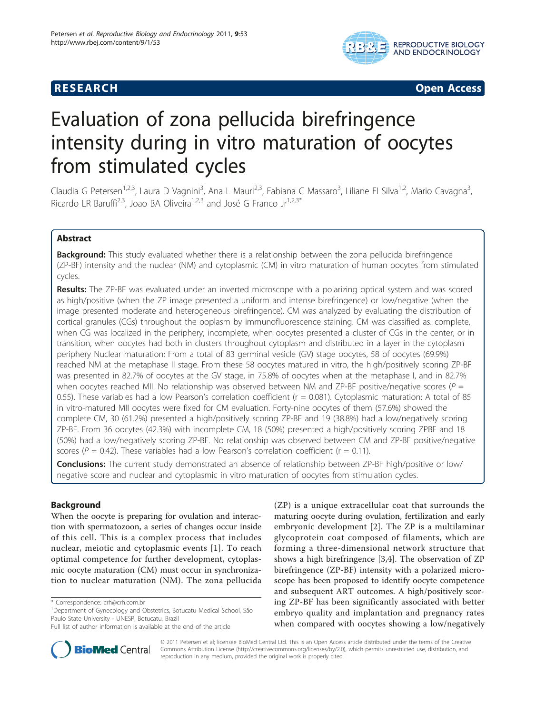# **RESEARCH CONTROL** RESEARCH COMMUNISMENT CONTROL CONTROL CONTROL CONTROL CONTROL CONTROL CONTROL CONTROL CONTROL CONTROL CONTROL CONTROL CONTROL CONTROL CONTROL CONTROL CONTROL CONTROL CONTROL CONTROL CONTROL CONTROL CONTR



# Evaluation of zona pellucida birefringence intensity during in vitro maturation of oocytes from stimulated cycles

Claudia G Petersen<sup>1,2,3</sup>, Laura D Vagnini<sup>3</sup>, Ana L Mauri<sup>2,3</sup>, Fabiana C Massaro<sup>3</sup>, Liliane FI Silva<sup>1,2</sup>, Mario Cavagna<sup>3</sup> , Ricardo LR Baruffi<sup>2,3</sup>, Joao BA Oliveira<sup>1,2,3</sup> and José G Franco Jr<sup>1,2,3\*</sup>

# Abstract

**Background:** This study evaluated whether there is a relationship between the zona pellucida birefringence (ZP-BF) intensity and the nuclear (NM) and cytoplasmic (CM) in vitro maturation of human oocytes from stimulated cycles.

Results: The ZP-BF was evaluated under an inverted microscope with a polarizing optical system and was scored as high/positive (when the ZP image presented a uniform and intense birefringence) or low/negative (when the image presented moderate and heterogeneous birefringence). CM was analyzed by evaluating the distribution of cortical granules (CGs) throughout the ooplasm by immunofluorescence staining. CM was classified as: complete, when CG was localized in the periphery; incomplete, when oocytes presented a cluster of CGs in the center; or in transition, when oocytes had both in clusters throughout cytoplasm and distributed in a layer in the cytoplasm periphery Nuclear maturation: From a total of 83 germinal vesicle (GV) stage oocytes, 58 of oocytes (69.9%) reached NM at the metaphase II stage. From these 58 oocytes matured in vitro, the high/positively scoring ZP-BF was presented in 82.7% of oocytes at the GV stage, in 75.8% of oocytes when at the metaphase I, and in 82.7% when oocytes reached MII. No relationship was observed between NM and ZP-BF positive/negative scores ( $P =$ 0.55). These variables had a low Pearson's correlation coefficient (r = 0.081). Cytoplasmic maturation: A total of 85 in vitro-matured MII oocytes were fixed for CM evaluation. Forty-nine oocytes of them (57.6%) showed the complete CM, 30 (61.2%) presented a high/positively scoring ZP-BF and 19 (38.8%) had a low/negatively scoring ZP-BF. From 36 oocytes (42.3%) with incomplete CM, 18 (50%) presented a high/positively scoring ZPBF and 18 (50%) had a low/negatively scoring ZP-BF. No relationship was observed between CM and ZP-BF positive/negative scores ( $P = 0.42$ ). These variables had a low Pearson's correlation coefficient ( $r = 0.11$ ).

Conclusions: The current study demonstrated an absence of relationship between ZP-BF high/positive or low/ negative score and nuclear and cytoplasmic in vitro maturation of oocytes from stimulation cycles.

# Background

When the oocyte is preparing for ovulation and interaction with spermatozoon, a series of changes occur inside of this cell. This is a complex process that includes nuclear, meiotic and cytoplasmic events [\[1](#page-6-0)]. To reach optimal competence for further development, cytoplasmic oocyte maturation (CM) must occur in synchronization to nuclear maturation (NM). The zona pellucida

Full list of author information is available at the end of the article





© 2011 Petersen et al; licensee BioMed Central Ltd. This is an Open Access article distributed under the terms of the Creative Commons Attribution License [\(http://creativecommons.org/licenses/by/2.0](http://creativecommons.org/licenses/by/2.0)), which permits unrestricted use, distribution, and reproduction in any medium, provided the original work is properly cited.

<sup>\*</sup> Correspondence: [crh@crh.com.br](mailto:crh@crh.com.br)

<sup>&</sup>lt;sup>1</sup>Department of Gynecology and Obstetrics, Botucatu Medical School, São Paulo State University - UNESP, Botucatu, Brazil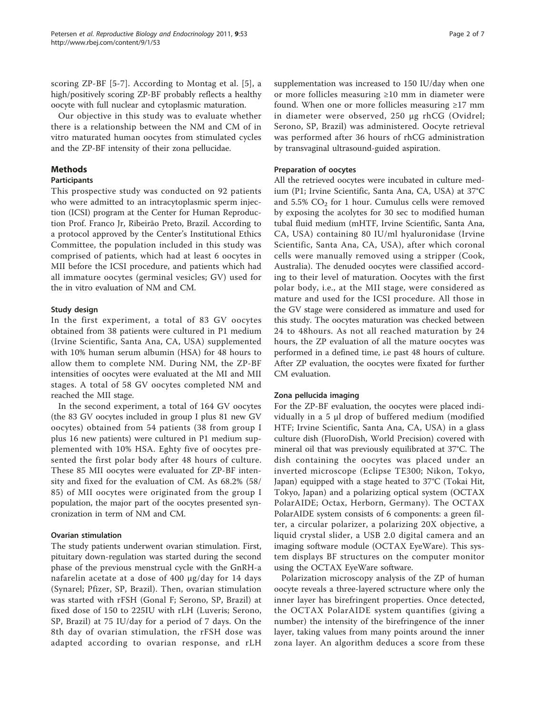scoring ZP-BF [[5](#page-6-0)-[7\]](#page-6-0). According to Montag et al. [[5\]](#page-6-0), a high/positively scoring ZP-BF probably reflects a healthy oocyte with full nuclear and cytoplasmic maturation.

Our objective in this study was to evaluate whether there is a relationship between the NM and CM of in vitro maturated human oocytes from stimulated cycles and the ZP-BF intensity of their zona pellucidae.

# Methods

#### Participants

This prospective study was conducted on 92 patients who were admitted to an intracytoplasmic sperm injection (ICSI) program at the Center for Human Reproduction Prof. Franco Jr, Ribeirão Preto, Brazil. According to a protocol approved by the Center's Institutional Ethics Committee, the population included in this study was comprised of patients, which had at least 6 oocytes in MII before the ICSI procedure, and patients which had all immature oocytes (germinal vesicles; GV) used for the in vitro evaluation of NM and CM.

#### Study design

In the first experiment, a total of 83 GV oocytes obtained from 38 patients were cultured in P1 medium (Irvine Scientific, Santa Ana, CA, USA) supplemented with 10% human serum albumin (HSA) for 48 hours to allow them to complete NM. During NM, the ZP-BF intensities of oocytes were evaluated at the MI and MII stages. A total of 58 GV oocytes completed NM and reached the MII stage.

In the second experiment, a total of 164 GV oocytes (the 83 GV oocytes included in group I plus 81 new GV oocytes) obtained from 54 patients (38 from group I plus 16 new patients) were cultured in P1 medium supplemented with 10% HSA. Eghty five of oocytes presented the first polar body after 48 hours of culture. These 85 MII oocytes were evaluated for ZP-BF intensity and fixed for the evaluation of CM. As 68.2% (58/ 85) of MII oocytes were originated from the group I population, the major part of the oocytes presented syncronization in term of NM and CM.

# Ovarian stimulation

The study patients underwent ovarian stimulation. First, pituitary down-regulation was started during the second phase of the previous menstrual cycle with the GnRH-a nafarelin acetate at a dose of 400 μg/day for 14 days (Synarel; Pfizer, SP, Brazil). Then, ovarian stimulation was started with rFSH (Gonal F; Serono, SP, Brazil) at fixed dose of 150 to 225IU with rLH (Luveris; Serono, SP, Brazil) at 75 IU/day for a period of 7 days. On the 8th day of ovarian stimulation, the rFSH dose was adapted according to ovarian response, and rLH

supplementation was increased to 150 IU/day when one or more follicles measuring ≥10 mm in diameter were found. When one or more follicles measuring ≥17 mm in diameter were observed, 250 μg rhCG (Ovidrel; Serono, SP, Brazil) was administered. Oocyte retrieval was performed after 36 hours of rhCG administration by transvaginal ultrasound-guided aspiration.

# Preparation of oocytes

All the retrieved oocytes were incubated in culture medium (P1; Irvine Scientific, Santa Ana, CA, USA) at 37°C and  $5.5\%$  CO<sub>2</sub> for 1 hour. Cumulus cells were removed by exposing the acolytes for 30 sec to modified human tubal fluid medium (mHTF, Irvine Scientific, Santa Ana, CA, USA) containing 80 IU/ml hyaluronidase (Irvine Scientific, Santa Ana, CA, USA), after which coronal cells were manually removed using a stripper (Cook, Australia). The denuded oocytes were classified according to their level of maturation. Oocytes with the first polar body, i.e., at the MII stage, were considered as mature and used for the ICSI procedure. All those in the GV stage were considered as immature and used for this study. The oocytes maturation was checked between 24 to 48hours. As not all reached maturation by 24 hours, the ZP evaluation of all the mature oocytes was performed in a defined time, i.e past 48 hours of culture. After ZP evaluation, the oocytes were fixated for further CM evaluation.

#### Zona pellucida imaging

For the ZP-BF evaluation, the oocytes were placed individually in a 5 μl drop of buffered medium (modified HTF; Irvine Scientific, Santa Ana, CA, USA) in a glass culture dish (FluoroDish, World Precision) covered with mineral oil that was previously equilibrated at 37°C. The dish containing the oocytes was placed under an inverted microscope (Eclipse TE300; Nikon, Tokyo, Japan) equipped with a stage heated to 37°C (Tokai Hit, Tokyo, Japan) and a polarizing optical system (OCTAX PolarAIDE; Octax, Herborn, Germany). The OCTAX PolarAIDE system consists of 6 components: a green filter, a circular polarizer, a polarizing 20X objective, a liquid crystal slider, a USB 2.0 digital camera and an imaging software module (OCTAX EyeWare). This system displays BF structures on the computer monitor using the OCTAX EyeWare software.

Polarization microscopy analysis of the ZP of human oocyte reveals a three-layered sctructure where only the inner layer has birefringent properties. Once detected, the OCTAX PolarAIDE system quantifies (giving a number) the intensity of the birefringence of the inner layer, taking values from many points around the inner zona layer. An algorithm deduces a score from these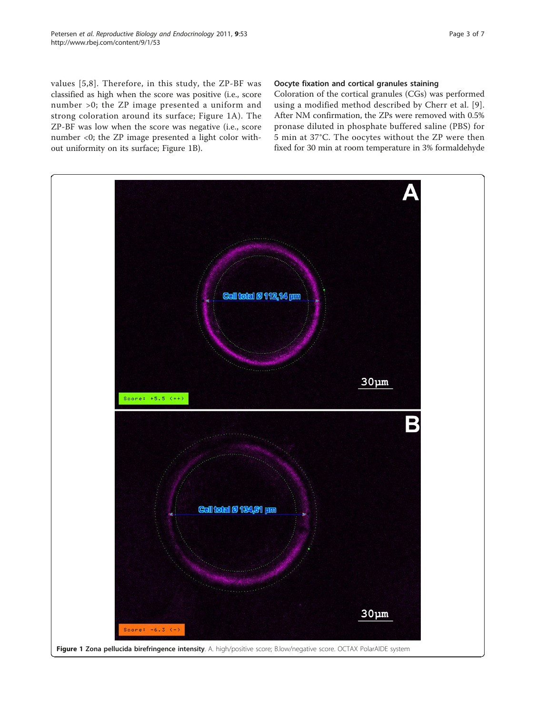values [[5](#page-6-0),[8\]](#page-6-0). Therefore, in this study, the ZP-BF was classified as high when the score was positive (i.e., score number >0; the ZP image presented a uniform and strong coloration around its surface; Figure 1A). The ZP-BF was low when the score was negative (i.e., score number <0; the ZP image presented a light color without uniformity on its surface; Figure 1B).

### Oocyte fixation and cortical granules staining

Coloration of the cortical granules (CGs) was performed using a modified method described by Cherr et al. [[9\]](#page-6-0). After NM confirmation, the ZPs were removed with 0.5% pronase diluted in phosphate buffered saline (PBS) for 5 min at 37°C. The oocytes without the ZP were then fixed for 30 min at room temperature in 3% formaldehyde

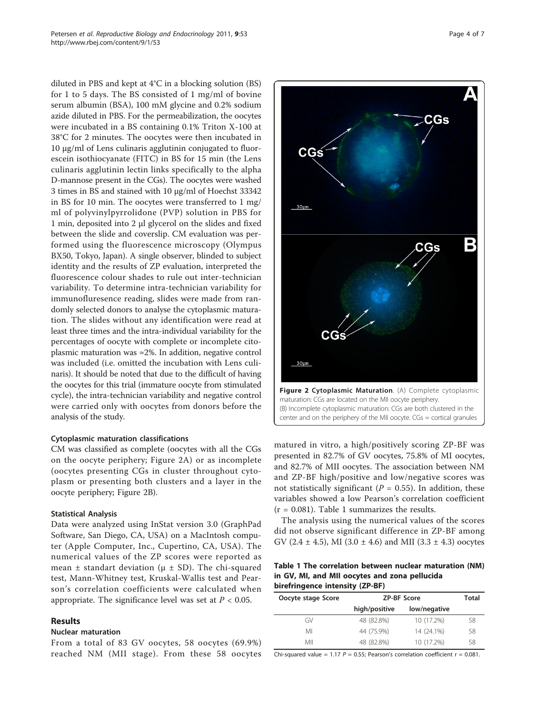<span id="page-3-0"></span>diluted in PBS and kept at 4°C in a blocking solution (BS) for 1 to 5 days. The BS consisted of 1 mg/ml of bovine serum albumin (BSA), 100 mM glycine and 0.2% sodium azide diluted in PBS. For the permeabilization, the oocytes were incubated in a BS containing 0.1% Triton X-100 at 38°C for 2 minutes. The oocytes were then incubated in 10 μg/ml of Lens culinaris agglutinin conjugated to fluorescein isothiocyanate (FITC) in BS for 15 min (the Lens culinaris agglutinin lectin links specifically to the alpha D-mannose present in the CGs). The oocytes were washed 3 times in BS and stained with 10 μg/ml of Hoechst 33342 in BS for 10 min. The oocytes were transferred to 1 mg/ ml of polyvinylpyrrolidone (PVP) solution in PBS for 1 min, deposited into 2 μl glycerol on the slides and fixed between the slide and coverslip. CM evaluation was performed using the fluorescence microscopy (Olympus BX50, Tokyo, Japan). A single observer, blinded to subject identity and the results of ZP evaluation, interpreted the fluorescence colour shades to rule out inter-technician variability. To determine intra-technician variability for immunofluresence reading, slides were made from randomly selected donors to analyse the cytoplasmic maturation. The slides without any identification were read at least three times and the intra-individual variability for the percentages of oocyte with complete or incomplete citoplasmic maturation was  $\approx$ 2%. In addition, negative control was included (i.e. omitted the incubation with Lens culinaris). It should be noted that due to the difficult of having the oocytes for this trial (immature oocyte from stimulated cycle), the intra-technician variability and negative control were carried only with oocytes from donors before the analysis of the study.

#### Cytoplasmic maturation classifications

CM was classified as complete (oocytes with all the CGs on the oocyte periphery; Figure 2A) or as incomplete (oocytes presenting CGs in cluster throughout cytoplasm or presenting both clusters and a layer in the oocyte periphery; Figure 2B).

#### Statistical Analysis

Data were analyzed using InStat version 3.0 (GraphPad Software, San Diego, CA, USA) on a MacIntosh computer (Apple Computer, Inc., Cupertino, CA, USA). The numerical values of the ZP scores were reported as mean  $\pm$  standart deviation ( $\mu \pm SD$ ). The chi-squared test, Mann-Whitney test, Kruskal-Wallis test and Pearson's correlation coefficients were calculated when appropriate. The significance level was set at  $P < 0.05$ .

#### Results

#### Nuclear maturation

From a total of 83 GV oocytes, 58 oocytes (69.9%) reached NM (MII stage). From these 58 oocytes



matured in vitro, a high/positively scoring ZP-BF was presented in 82.7% of GV oocytes, 75.8% of MI oocytes, and 82.7% of MII oocytes. The association between NM and ZP-BF high/positive and low/negative scores was not statistically significant ( $P = 0.55$ ). In addition, these variables showed a low Pearson's correlation coefficient  $(r = 0.081)$ . Table 1 summarizes the results.

The analysis using the numerical values of the scores did not observe significant difference in ZP-BF among GV (2.4  $\pm$  4.5), MI (3.0  $\pm$  4.6) and MII (3.3  $\pm$  4.3) oocytes

Table 1 The correlation between nuclear maturation (NM) in GV, MI, and MII oocytes and zona pellucida birefringence intensity (ZP-BF)

| Oocyte stage Score | <b>ZP-BF Score</b> |              | Total |
|--------------------|--------------------|--------------|-------|
|                    | high/positive      | low/negative |       |
| GV                 | 48 (82.8%)         | 10 (17.2%)   | 58    |
| MI                 | 44 (75.9%)         | 14 (24.1%)   | 58    |
| МII                | 48 (82.8%)         | 10 (17.2%)   | 58    |

Chi-squared value = 1.17  $P = 0.55$ ; Pearson's correlation coefficient  $r = 0.081$ .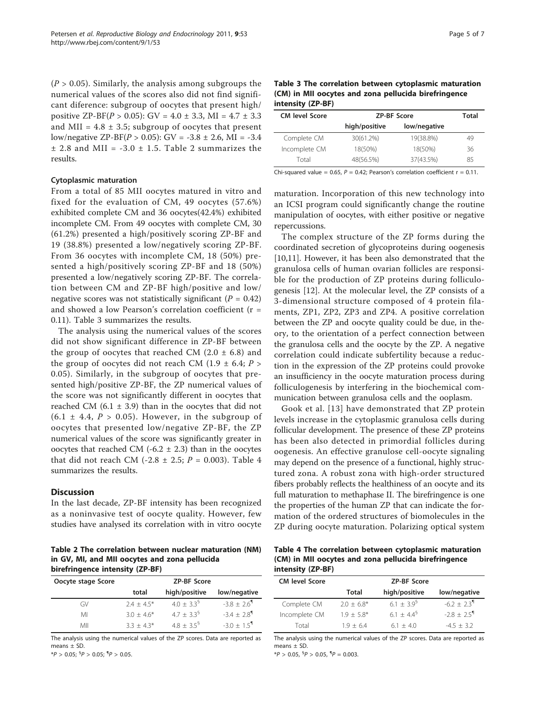<span id="page-4-0"></span> $(P > 0.05)$ . Similarly, the analysis among subgroups the numerical values of the scores also did not find significant diference: subgroup of oocytes that present high/ positive ZP-BF( $P > 0.05$ ): GV = 4.0 ± 3.3, MI = 4.7 ± 3.3 and MII =  $4.8 \pm 3.5$ ; subgroup of oocytes that present low/negative ZP-BF( $P > 0.05$ ): GV = -3.8 ± 2.6, MI = -3.4  $\pm$  2.8 and MII = -3.0  $\pm$  1.5. Table 2 summarizes the results.

#### Cytoplasmic maturation

From a total of 85 MII oocytes matured in vitro and fixed for the evaluation of CM, 49 oocytes (57.6%) exhibited complete CM and 36 oocytes(42.4%) exhibited incomplete CM. From 49 oocytes with complete CM, 30 (61.2%) presented a high/positively scoring ZP-BF and 19 (38.8%) presented a low/negatively scoring ZP-BF. From 36 oocytes with incomplete CM, 18 (50%) presented a high/positively scoring ZP-BF and 18 (50%) presented a low/negatively scoring ZP-BF. The correlation between CM and ZP-BF high/positive and low/ negative scores was not statistically significant ( $P = 0.42$ ) and showed a low Pearson's correlation coefficient (r = 0.11). Table 3 summarizes the results.

The analysis using the numerical values of the scores did not show significant difference in ZP-BF between the group of oocytes that reached CM  $(2.0 \pm 6.8)$  and the group of oocytes did not reach CM (1.9  $\pm$  6.4; P > 0.05). Similarly, in the subgroup of oocytes that presented high/positive ZP-BF, the ZP numerical values of the score was not significantly different in oocytes that reached CM  $(6.1 \pm 3.9)$  than in the oocytes that did not  $(6.1 \pm 4.4, P > 0.05)$ . However, in the subgroup of oocytes that presented low/negative ZP-BF, the ZP numerical values of the score was significantly greater in oocytes that reached CM  $(-6.2 \pm 2.3)$  than in the oocytes that did not reach CM (-2.8  $\pm$  2.5; P = 0.003). Table 4 summarizes the results.

#### **Discussion**

In the last decade, ZP-BF intensity has been recognized as a noninvasive test of oocyte quality. However, few studies have analysed its correlation with in vitro oocyte

Table 2 The correlation between nuclear maturation (NM) in GV, MI, and MII oocytes and zona pellucida birefringence intensity (ZP-BF)

| Oocyte stage Score | <b>ZP-BF Score</b> |                       |                           |
|--------------------|--------------------|-----------------------|---------------------------|
|                    | total              | high/positive         | low/negative              |
| GV                 | $2.4 + 4.5*$       | $4.0 + 3.3^9$         | $-3.8 + 2.6$ <sup>1</sup> |
| MI                 | $3.0 + 4.6*$       | $4.7 + 3.3^9$         | $-3.4 + 2.8$ <sup>1</sup> |
| МII                | $3.3 + 4.3*$       | $4.8 \pm 3.5^{\circ}$ | $-3.0 + 1.5$ <sup>1</sup> |

The analysis using the numerical values of the ZP scores. Data are reported as means  $\pm$  SD.

 $*P > 0.05$ ;  ${}^{6}P > 0.05$ ;  ${}^{9}P > 0.05$ .

Table 3 The correlation between cytoplasmic maturation (CM) in MII oocytes and zona pellucida birefringence intensity (ZP-BF)

| <b>CM level Score</b> | <b>ZP-BF Score</b> |              | Total |
|-----------------------|--------------------|--------------|-------|
|                       | high/positive      | low/negative |       |
| Complete CM           | 30(61.2%)          | 19(38.8%)    | 49    |
| Incomplete CM         | 18(50%)            | 18(50%)      | 36    |
| Total                 | 48(56.5%)          | 37(43.5%)    | 85    |

Chi-squared value = 0.65,  $P = 0.42$ ; Pearson's correlation coefficient  $r = 0.11$ .

maturation. Incorporation of this new technology into an ICSI program could significantly change the routine manipulation of oocytes, with either positive or negative repercussions.

The complex structure of the ZP forms during the coordinated secretion of glycoproteins during oogenesis [[10,11\]](#page-6-0). However, it has been also demonstrated that the granulosa cells of human ovarian follicles are responsible for the production of ZP proteins during folliculogenesis [\[12](#page-6-0)]. At the molecular level, the ZP consists of a 3-dimensional structure composed of 4 protein filaments, ZP1, ZP2, ZP3 and ZP4. A positive correlation between the ZP and oocyte quality could be due, in theory, to the orientation of a perfect connection between the granulosa cells and the oocyte by the ZP. A negative correlation could indicate subfertility because a reduction in the expression of the ZP proteins could provoke an insufficiency in the oocyte maturation process during folliculogenesis by interfering in the biochemical communication between granulosa cells and the ooplasm.

Gook et al. [[13](#page-6-0)] have demonstrated that ZP protein levels increase in the cytoplasmic granulosa cells during follicular development. The presence of these ZP proteins has been also detected in primordial follicles during oogenesis. An effective granulose cell-oocyte signaling may depend on the presence of a functional, highly structured zona. A robust zona with high-order structured fibers probably reflects the healthiness of an oocyte and its full maturation to methaphase II. The birefringence is one the properties of the human ZP that can indicate the formation of the ordered structures of biomolecules in the ZP during oocyte maturation. Polarizing optical system

Table 4 The correlation between cytoplasmic maturation (CM) in MII oocytes and zona pellucida birefringence intensity (ZP-BF)

| <b>CM level Score</b> | <b>ZP-BF Score</b> |               |                           |
|-----------------------|--------------------|---------------|---------------------------|
|                       | Total              | high/positive | low/negative              |
| Complete CM           | $2.0 + 6.8*$       | $6.1 + 3.9^9$ | $-6.2 + 2.3$ <sup>1</sup> |
| Incomplete CM         | $1.9 + 5.8*$       | $61 + 44^9$   | $-2.8 + 2.5$ <sup>1</sup> |
| Total                 | $19 + 64$          | $61 + 40$     | $-45 + 32$                |

The analysis using the numerical values of the ZP scores. Data are reported as means ± SD.

 $*P > 0.05$ ,  ${}^{6}P > 0.05$ ,  ${}^{9}P = 0.003$ .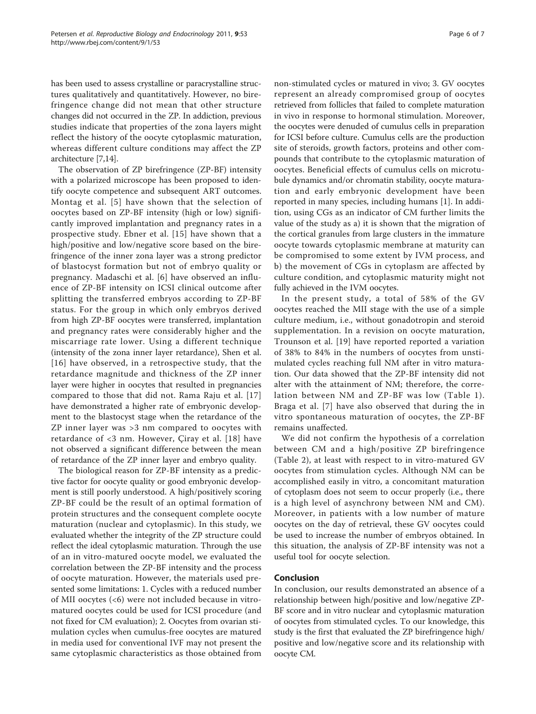has been used to assess crystalline or paracrystalline structures qualitatively and quantitatively. However, no birefringence change did not mean that other structure changes did not occurred in the ZP. In addiction, previous studies indicate that properties of the zona layers might reflect the history of the oocyte cytoplasmic maturation, whereas different culture conditions may affect the ZP architecture [\[7,14](#page-6-0)].

The observation of ZP birefringence (ZP-BF) intensity with a polarized microscope has been proposed to identify oocyte competence and subsequent ART outcomes. Montag et al. [[5\]](#page-6-0) have shown that the selection of oocytes based on ZP-BF intensity (high or low) significantly improved implantation and pregnancy rates in a prospective study. Ebner et al. [[15\]](#page-6-0) have shown that a high/positive and low/negative score based on the birefringence of the inner zona layer was a strong predictor of blastocyst formation but not of embryo quality or pregnancy. Madaschi et al. [[6](#page-6-0)] have observed an influence of ZP-BF intensity on ICSI clinical outcome after splitting the transferred embryos according to ZP-BF status. For the group in which only embryos derived from high ZP-BF oocytes were transferred, implantation and pregnancy rates were considerably higher and the miscarriage rate lower. Using a different technique (intensity of the zona inner layer retardance), Shen et al. [[16\]](#page-6-0) have observed, in a retrospective study, that the retardance magnitude and thickness of the ZP inner layer were higher in oocytes that resulted in pregnancies compared to those that did not. Rama Raju et al. [[17](#page-6-0)] have demonstrated a higher rate of embryonic development to the blastocyst stage when the retardance of the ZP inner layer was >3 nm compared to oocytes with retardance of <3 nm. However, Çiray et al. [[18\]](#page-6-0) have not observed a significant difference between the mean of retardance of the ZP inner layer and embryo quality.

The biological reason for ZP-BF intensity as a predictive factor for oocyte quality or good embryonic development is still poorly understood. A high/positively scoring ZP-BF could be the result of an optimal formation of protein structures and the consequent complete oocyte maturation (nuclear and cytoplasmic). In this study, we evaluated whether the integrity of the ZP structure could reflect the ideal cytoplasmic maturation. Through the use of an in vitro-matured oocyte model, we evaluated the correlation between the ZP-BF intensity and the process of oocyte maturation. However, the materials used presented some limitations: 1. Cycles with a reduced number of MII oocytes (<6) were not included because in vitromatured oocytes could be used for ICSI procedure (and not fixed for CM evaluation); 2. Oocytes from ovarian stimulation cycles when cumulus-free oocytes are matured in media used for conventional IVF may not present the same cytoplasmic characteristics as those obtained from non-stimulated cycles or matured in vivo; 3. GV oocytes represent an already compromised group of oocytes retrieved from follicles that failed to complete maturation in vivo in response to hormonal stimulation. Moreover, the oocytes were denuded of cumulus cells in preparation for ICSI before culture. Cumulus cells are the production site of steroids, growth factors, proteins and other compounds that contribute to the cytoplasmic maturation of oocytes. Beneficial effects of cumulus cells on microtubule dynamics and/or chromatin stability, oocyte maturation and early embryonic development have been reported in many species, including humans [[1\]](#page-6-0). In addition, using CGs as an indicator of CM further limits the value of the study as a) it is shown that the migration of the cortical granules from large clusters in the immature oocyte towards cytoplasmic membrane at maturity can be compromised to some extent by IVM process, and b) the movement of CGs in cytoplasm are affected by culture condition, and cytoplasmic maturity might not

In the present study, a total of 58% of the GV oocytes reached the MII stage with the use of a simple culture medium, i.e., without gonadotropin and steroid supplementation. In a revision on oocyte maturation, Trounson et al. [[19\]](#page-6-0) have reported reported a variation of 38% to 84% in the numbers of oocytes from unstimulated cycles reaching full NM after in vitro maturation. Our data showed that the ZP-BF intensity did not alter with the attainment of NM; therefore, the correlation between NM and ZP-BF was low (Table [1\)](#page-3-0). Braga et al. [[7\]](#page-6-0) have also observed that during the in vitro spontaneous maturation of oocytes, the ZP-BF remains unaffected.

fully achieved in the IVM oocytes.

We did not confirm the hypothesis of a correlation between CM and a high/positive ZP birefringence (Table [2](#page-4-0)), at least with respect to in vitro-matured GV oocytes from stimulation cycles. Although NM can be accomplished easily in vitro, a concomitant maturation of cytoplasm does not seem to occur properly (i.e., there is a high level of asynchrony between NM and CM). Moreover, in patients with a low number of mature oocytes on the day of retrieval, these GV oocytes could be used to increase the number of embryos obtained. In this situation, the analysis of ZP-BF intensity was not a useful tool for oocyte selection.

#### Conclusion

In conclusion, our results demonstrated an absence of a relationship between high/positive and low/negative ZP-BF score and in vitro nuclear and cytoplasmic maturation of oocytes from stimulated cycles. To our knowledge, this study is the first that evaluated the ZP birefringence high/ positive and low/negative score and its relationship with oocyte CM.